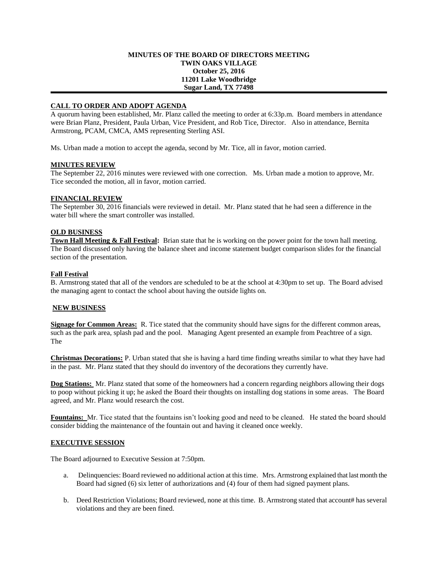### **MINUTES OF THE BOARD OF DIRECTORS MEETING TWIN OAKS VILLAGE October 25, 2016 11201 Lake Woodbridge Sugar Land, TX 77498**

# **CALL TO ORDER AND ADOPT AGENDA**

A quorum having been established, Mr. Planz called the meeting to order at 6:33p.m. Board members in attendance were Brian Planz, President, Paula Urban, Vice President, and Rob Tice, Director. Also in attendance, Bernita Armstrong, PCAM, CMCA, AMS representing Sterling ASI.

Ms. Urban made a motion to accept the agenda, second by Mr. Tice, all in favor, motion carried.

### **MINUTES REVIEW**

The September 22, 2016 minutes were reviewed with one correction. Ms. Urban made a motion to approve, Mr. Tice seconded the motion, all in favor, motion carried.

## **FINANCIAL REVIEW**

The September 30, 2016 financials were reviewed in detail. Mr. Planz stated that he had seen a difference in the water bill where the smart controller was installed.

## **OLD BUSINESS**

**Town Hall Meeting & Fall Festival:** Brian state that he is working on the power point for the town hall meeting. The Board discussed only having the balance sheet and income statement budget comparison slides for the financial section of the presentation.

### **Fall Festival**

B. Armstrong stated that all of the vendors are scheduled to be at the school at 4:30pm to set up. The Board advised the managing agent to contact the school about having the outside lights on.

### **NEW BUSINESS**

**Signage for Common Areas:** R. Tice stated that the community should have signs for the different common areas, such as the park area, splash pad and the pool. Managing Agent presented an example from Peachtree of a sign. The

**Christmas Decorations:** P. Urban stated that she is having a hard time finding wreaths similar to what they have had in the past. Mr. Planz stated that they should do inventory of the decorations they currently have.

**Dog Stations:** Mr. Planz stated that some of the homeowners had a concern regarding neighbors allowing their dogs to poop without picking it up; he asked the Board their thoughts on installing dog stations in some areas. The Board agreed, and Mr. Planz would research the cost.

**Fountains:** Mr. Tice stated that the fountains isn't looking good and need to be cleaned. He stated the board should consider bidding the maintenance of the fountain out and having it cleaned once weekly.

# **EXECUTIVE SESSION**

The Board adjourned to Executive Session at 7:50pm.

- a. Delinquencies: Board reviewed no additional action at this time. Mrs. Armstrong explained that last month the Board had signed (6) six letter of authorizations and (4) four of them had signed payment plans.
- b. Deed Restriction Violations; Board reviewed, none at this time. B. Armstrong stated that account# has several violations and they are been fined.